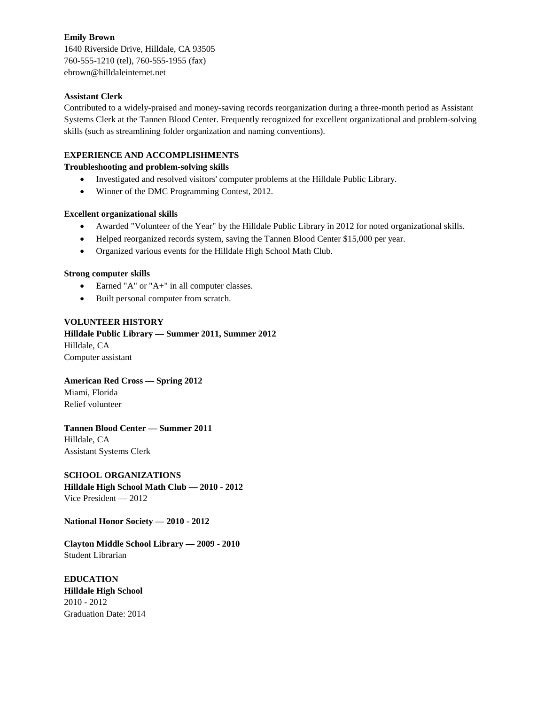## **Emily Brown**

1640 Riverside Drive, Hilldale, CA 93505 760-555-1210 (tel), 760-555-1955 (fax) ebrown@hilldaleinternet.net

#### **Assistant Clerk**

Contributed to a widely-praised and money-saving records reorganization during a three-month period as Assistant Systems Clerk at the Tannen Blood Center. Frequently recognized for excellent organizational and problem-solving skills (such as streamlining folder organization and naming conventions).

## **EXPERIENCE AND ACCOMPLISHMENTS**

**Troubleshooting and problem-solving skills**

- Investigated and resolved visitors' computer problems at the Hilldale Public Library.
- Winner of the DMC Programming Contest, 2012.

## **Excellent organizational skills**

- Awarded "Volunteer of the Year" by the Hilldale Public Library in 2012 for noted organizational skills.
- Helped reorganized records system, saving the Tannen Blood Center \$15,000 per year.
- Organized various events for the Hilldale High School Math Club.

## **Strong computer skills**

- Earned "A" or "A+" in all computer classes.
- Built personal computer from scratch.

## **VOLUNTEER HISTORY**

**Hilldale Public Library — Summer 2011, Summer 2012** Hilldale, CA Computer assistant

#### **American Red Cross — Spring 2012** Miami, Florida

Relief volunteer

# **Tannen Blood Center — Summer 2011**

Hilldale, CA Assistant Systems Clerk

# **SCHOOL ORGANIZATIONS**

**Hilldale High School Math Club — 2010 - 2012** Vice President — 2012

**National Honor Society — 2010 - 2012**

**Clayton Middle School Library — 2009 - 2010** Student Librarian

**EDUCATION Hilldale High School** 2010 - 2012 Graduation Date: 2014